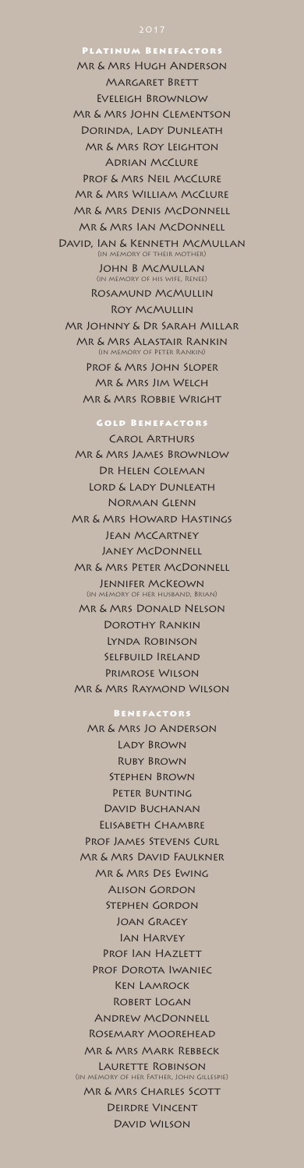Platinum Benefactors Mr & Mrs Hugh Anderson Margaret Brett Eveleigh Brownlow Mr & Mrs John Clementson Dorinda, Lady Dunleath Mr & Mrs Roy Leighton Adrian McClure Prof & Mrs Neil McClure Mr & Mrs William McClure Mr & Mrs Denis McDonnell Mr & Mrs Ian McDonnell David, Ian & Kenneth McMullan (in memory of their mother) John B McMullan (in memory of his wife, Renee) Rosamund McMullin Roy McMullin Mr Johnny & Dr Sarah Millar Mr & Mrs Alastair Rankin (in memory of Peter Rankin)

Prof & Mrs John Sloper

Mr & Mrs Jim Welch Mr & Mrs Robbie Wright

Gold Benefactors Carol Arthurs Mr & Mrs James Brownlow Dr Helen Coleman LORD & LADY DUNLEATH Norman Glenn Mr & Mrs Howard Hastings Jean McCartney Janey McDonnell Mr & Mrs Peter McDonnell Jennifer McKeown (in memory of her husband, Brian) Mr & Mrs Donald Nelson Dorothy Rankin Lynda Robinson Selfbuild Ireland Primrose Wilson Mr & Mrs Raymond Wilson

#### Benefactors

Mr & Mrs Jo Anderson

Lady Brown Ruby Brown Stephen Brown PETER BUNTING David Buchanan Elisabeth Chambre Prof James Stevens Curl Mr & Mrs David Faulkner Mr & Mrs Des Ewing Alison Gordon Stephen Gordon Joan Gracey Ian Harvey PROF IAN HAZLETT Prof Dorota Iwaniec Ken Lamrock Robert Logan Andrew McDonnell Rosemary Moorehead Mr & Mrs Mark Rebbeck LAURETTE ROBINSON (in memory of her Father, John Gillespie) Mr & Mrs Charles Scott

Deirdre Vincent

#### David Wilson

### 2017